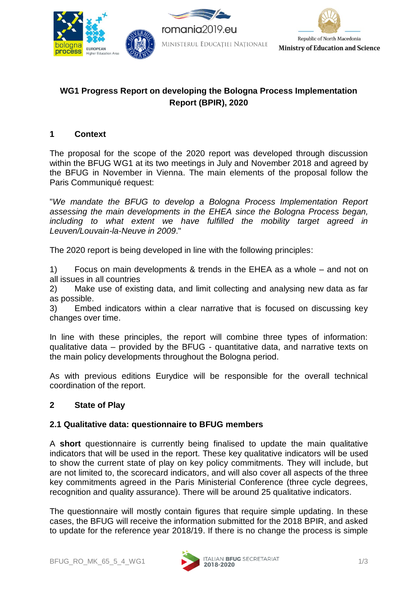

# **WG1 Progress Report on developing the Bologna Process Implementation Report (BPIR), 2020**

## **1 Context**

The proposal for the scope of the 2020 report was developed through discussion within the BFUG WG1 at its two meetings in July and November 2018 and agreed by the BFUG in November in Vienna. The main elements of the proposal follow the Paris Communiqué request:

"*We mandate the BFUG to develop a Bologna Process Implementation Report assessing the main developments in the EHEA since the Bologna Process began, including to what extent we have fulfilled the mobility target agreed in Leuven/Louvain-la-Neuve in 2009*."

The 2020 report is being developed in line with the following principles:

1) Focus on main developments & trends in the EHEA as a whole – and not on all issues in all countries

2) Make use of existing data, and limit collecting and analysing new data as far as possible.

3) Embed indicators within a clear narrative that is focused on discussing key changes over time.

In line with these principles, the report will combine three types of information: qualitative data – provided by the BFUG - quantitative data, and narrative texts on the main policy developments throughout the Bologna period.

As with previous editions Eurydice will be responsible for the overall technical coordination of the report.

## **2 State of Play**

## **2.1 Qualitative data: questionnaire to BFUG members**

A **short** questionnaire is currently being finalised to update the main qualitative indicators that will be used in the report. These key qualitative indicators will be used to show the current state of play on key policy commitments. They will include, but are not limited to, the scorecard indicators, and will also cover all aspects of the three key commitments agreed in the Paris Ministerial Conference (three cycle degrees, recognition and quality assurance). There will be around 25 qualitative indicators.

The questionnaire will mostly contain figures that require simple updating. In these cases, the BFUG will receive the information submitted for the 2018 BPIR, and asked to update for the reference year 2018/19. If there is no change the process is simple

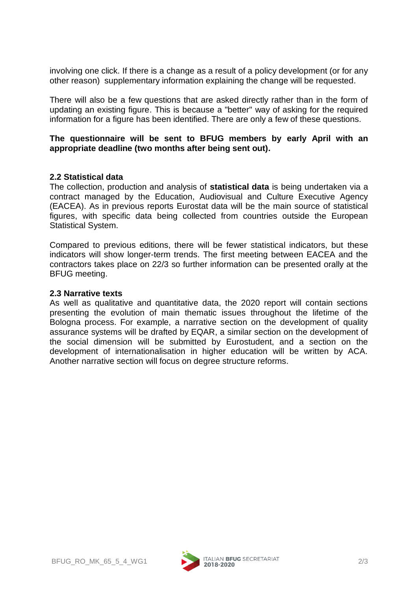involving one click. If there is a change as a result of a policy development (or for any other reason) supplementary information explaining the change will be requested.

There will also be a few questions that are asked directly rather than in the form of updating an existing figure. This is because a "better" way of asking for the required information for a figure has been identified. There are only a few of these questions.

## **The questionnaire will be sent to BFUG members by early April with an appropriate deadline (two months after being sent out).**

### **2.2 Statistical data**

The collection, production and analysis of **statistical data** is being undertaken via a contract managed by the Education, Audiovisual and Culture Executive Agency (EACEA). As in previous reports Eurostat data will be the main source of statistical figures, with specific data being collected from countries outside the European Statistical System.

Compared to previous editions, there will be fewer statistical indicators, but these indicators will show longer-term trends. The first meeting between EACEA and the contractors takes place on 22/3 so further information can be presented orally at the BFUG meeting.

#### **2.3 Narrative texts**

As well as qualitative and quantitative data, the 2020 report will contain sections presenting the evolution of main thematic issues throughout the lifetime of the Bologna process. For example, a narrative section on the development of quality assurance systems will be drafted by EQAR, a similar section on the development of the social dimension will be submitted by Eurostudent, and a section on the development of internationalisation in higher education will be written by ACA. Another narrative section will focus on degree structure reforms.